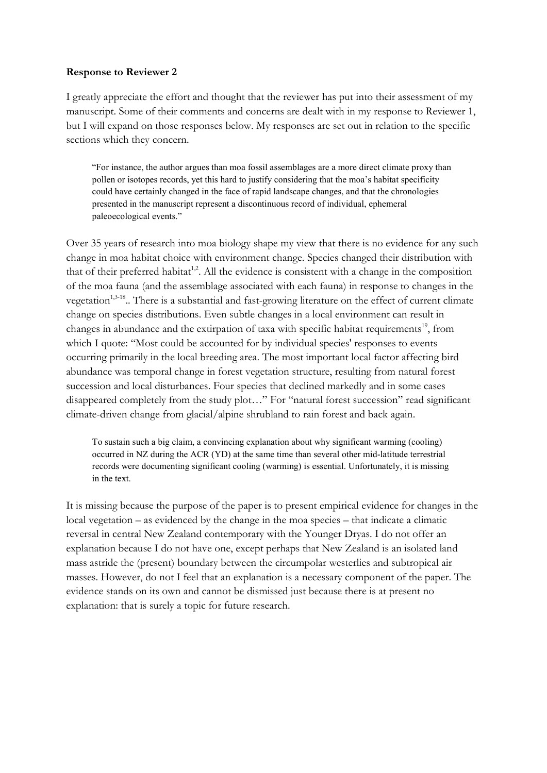## Response to Reviewer 2

I greatly appreciate the effort and thought that the reviewer has put into their assessment of my manuscript. Some of their comments and concerns are dealt with in my response to Reviewer 1, but I will expand on those responses below. My responses are set out in relation to the specific sections which they concern.

"For instance, the author argues than moa fossil assemblages are a more direct climate proxy than pollen or isotopes records, yet this hard to justify considering that the moa's habitat specificity could have certainly changed in the face of rapid landscape changes, and that the chronologies presented in the manuscript represent a discontinuous record of individual, ephemeral paleoecological events."

Over 35 years of research into moa biology shape my view that there is no evidence for any such change in moa habitat choice with environment change. Species changed their distribution with that of their preferred habitat<sup>1,2</sup>. All the evidence is consistent with a change in the composition of the moa fauna (and the assemblage associated with each fauna) in response to changes in the vegetation<sup>1,3-18</sup>.. There is a substantial and fast-growing literature on the effect of current climate change on species distributions. Even subtle changes in a local environment can result in changes in abundance and the extirpation of taxa with specific habitat requirements<sup>19</sup>, from which I quote: "Most could be accounted for by individual species' responses to events occurring primarily in the local breeding area. The most important local factor affecting bird abundance was temporal change in forest vegetation structure, resulting from natural forest succession and local disturbances. Four species that declined markedly and in some cases disappeared completely from the study plot…" For "natural forest succession" read significant climate-driven change from glacial/alpine shrubland to rain forest and back again.

To sustain such a big claim, a convincing explanation about why significant warming (cooling) occurred in NZ during the ACR (YD) at the same time than several other mid-latitude terrestrial records were documenting significant cooling (warming) is essential. Unfortunately, it is missing in the text.

It is missing because the purpose of the paper is to present empirical evidence for changes in the local vegetation – as evidenced by the change in the moa species – that indicate a climatic reversal in central New Zealand contemporary with the Younger Dryas. I do not offer an explanation because I do not have one, except perhaps that New Zealand is an isolated land mass astride the (present) boundary between the circumpolar westerlies and subtropical air masses. However, do not I feel that an explanation is a necessary component of the paper. The evidence stands on its own and cannot be dismissed just because there is at present no explanation: that is surely a topic for future research.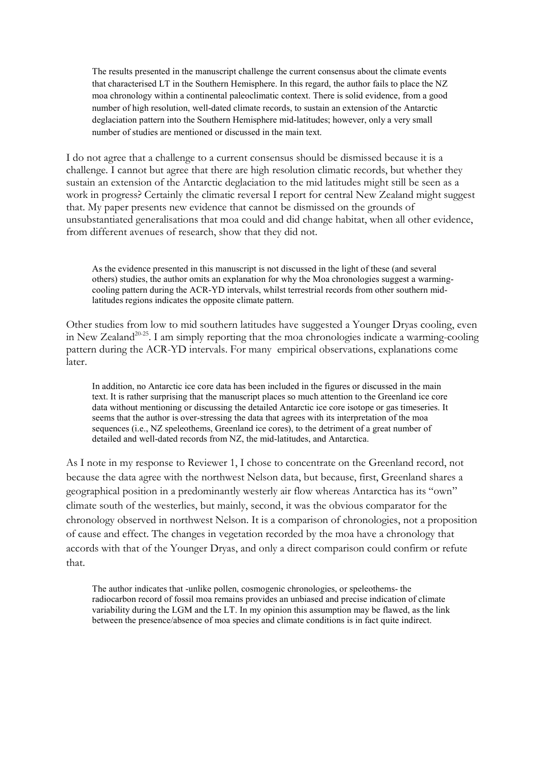The results presented in the manuscript challenge the current consensus about the climate events that characterised LT in the Southern Hemisphere. In this regard, the author fails to place the NZ moa chronology within a continental paleoclimatic context. There is solid evidence, from a good number of high resolution, well-dated climate records, to sustain an extension of the Antarctic deglaciation pattern into the Southern Hemisphere mid-latitudes; however, only a very small number of studies are mentioned or discussed in the main text.

I do not agree that a challenge to a current consensus should be dismissed because it is a challenge. I cannot but agree that there are high resolution climatic records, but whether they sustain an extension of the Antarctic deglaciation to the mid latitudes might still be seen as a work in progress? Certainly the climatic reversal I report for central New Zealand might suggest that. My paper presents new evidence that cannot be dismissed on the grounds of unsubstantiated generalisations that moa could and did change habitat, when all other evidence, from different avenues of research, show that they did not.

As the evidence presented in this manuscript is not discussed in the light of these (and several others) studies, the author omits an explanation for why the Moa chronologies suggest a warmingcooling pattern during the ACR-YD intervals, whilst terrestrial records from other southern midlatitudes regions indicates the opposite climate pattern.

Other studies from low to mid southern latitudes have suggested a Younger Dryas cooling, even in New Zealand<sup>20-25</sup>. I am simply reporting that the moa chronologies indicate a warming-cooling pattern during the ACR-YD intervals. For many empirical observations, explanations come later.

In addition, no Antarctic ice core data has been included in the figures or discussed in the main text. It is rather surprising that the manuscript places so much attention to the Greenland ice core data without mentioning or discussing the detailed Antarctic ice core isotope or gas timeseries. It seems that the author is over-stressing the data that agrees with its interpretation of the moa sequences (i.e., NZ speleothems, Greenland ice cores), to the detriment of a great number of detailed and well-dated records from NZ, the mid-latitudes, and Antarctica.

As I note in my response to Reviewer 1, I chose to concentrate on the Greenland record, not because the data agree with the northwest Nelson data, but because, first, Greenland shares a geographical position in a predominantly westerly air flow whereas Antarctica has its "own" climate south of the westerlies, but mainly, second, it was the obvious comparator for the chronology observed in northwest Nelson. It is a comparison of chronologies, not a proposition of cause and effect. The changes in vegetation recorded by the moa have a chronology that accords with that of the Younger Dryas, and only a direct comparison could confirm or refute that.

The author indicates that -unlike pollen, cosmogenic chronologies, or speleothems- the radiocarbon record of fossil moa remains provides an unbiased and precise indication of climate variability during the LGM and the LT. In my opinion this assumption may be flawed, as the link between the presence/absence of moa species and climate conditions is in fact quite indirect.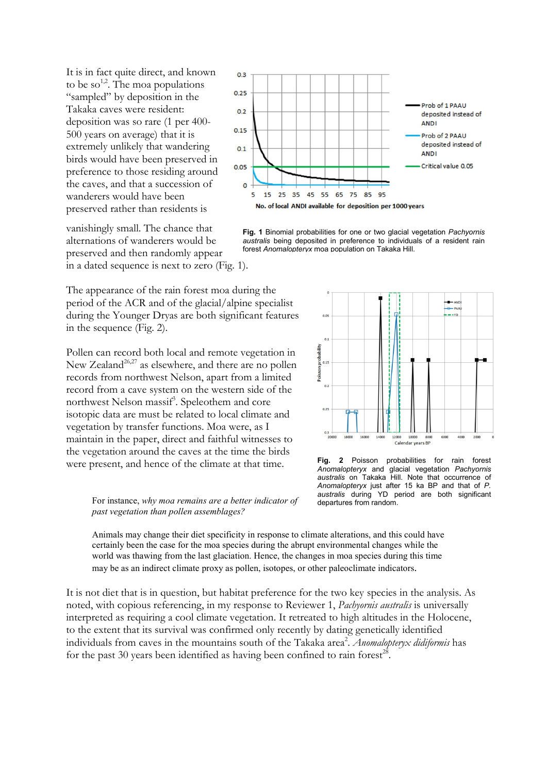It is in fact quite direct, and known to be so<sup>1,2</sup>. The moa populations "sampled" by deposition in the Takaka caves were resident: deposition was so rare (1 per 400- 500 years on average) that it is extremely unlikely that wandering birds would have been preserved in preference to those residing around the caves, and that a succession of wanderers would have been preserved rather than residents is

vanishingly small. The chance that alternations of wanderers would be preserved and then randomly appear in a dated sequence is next to zero (Fig. 1).



Fig. 1 Binomial probabilities for one or two glacial vegetation Pachyornis australis being deposited in preference to individuals of a resident rain forest Anomalopteryx moa population on Takaka Hill.

The appearance of the rain forest moa during the period of the ACR and of the glacial/alpine specialist during the Younger Dryas are both significant features in the sequence (Fig. 2).

Pollen can record both local and remote vegetation in New Zealand<sup>26,27</sup> as elsewhere, and there are no pollen records from northwest Nelson, apart from a limited record from a cave system on the western side of the northwest Nelson massif<sup>3</sup>. Speleothem and core isotopic data are must be related to local climate and vegetation by transfer functions. Moa were, as I maintain in the paper, direct and faithful witnesses to the vegetation around the caves at the time the birds were present, and hence of the climate at that time.



Fig. 2 Poisson probabilities for rain forest Anomalopteryx and glacial vegetation Pachyornis australis on Takaka Hill. Note that occurrence of Anomalopteryx just after 15 ka BP and that of P. australis during YD period are both significant departures from random.

For instance, why moa remains are a better indicator of past vegetation than pollen assemblages?

Animals may change their diet specificity in response to climate alterations, and this could have certainly been the case for the moa species during the abrupt environmental changes while the world was thawing from the last glaciation. Hence, the changes in moa species during this time may be as an indirect climate proxy as pollen, isotopes, or other paleoclimate indicators.

It is not diet that is in question, but habitat preference for the two key species in the analysis. As noted, with copious referencing, in my response to Reviewer 1, *Pachyornis australis* is universally interpreted as requiring a cool climate vegetation. It retreated to high altitudes in the Holocene, to the extent that its survival was confirmed only recently by dating genetically identified individuals from caves in the mountains south of the Takaka area<sup>2</sup>. Anomalopteryx didiformis has for the past 30 years been identified as having been confined to rain forest<sup>28</sup>.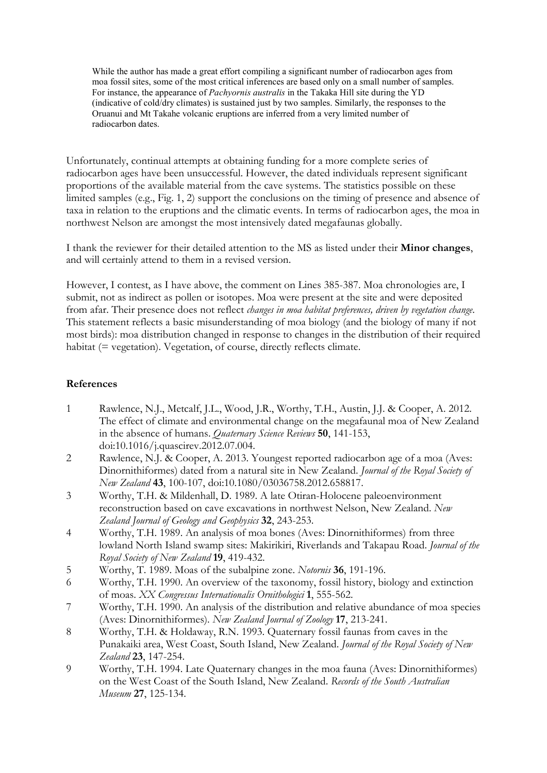While the author has made a great effort compiling a significant number of radiocarbon ages from moa fossil sites, some of the most critical inferences are based only on a small number of samples. For instance, the appearance of *Pachyornis australis* in the Takaka Hill site during the YD (indicative of cold/dry climates) is sustained just by two samples. Similarly, the responses to the Oruanui and Mt Takahe volcanic eruptions are inferred from a very limited number of radiocarbon dates.

Unfortunately, continual attempts at obtaining funding for a more complete series of radiocarbon ages have been unsuccessful. However, the dated individuals represent significant proportions of the available material from the cave systems. The statistics possible on these limited samples (e.g., Fig. 1, 2) support the conclusions on the timing of presence and absence of taxa in relation to the eruptions and the climatic events. In terms of radiocarbon ages, the moa in northwest Nelson are amongst the most intensively dated megafaunas globally.

I thank the reviewer for their detailed attention to the MS as listed under their Minor changes, and will certainly attend to them in a revised version.

However, I contest, as I have above, the comment on Lines 385-387. Moa chronologies are, I submit, not as indirect as pollen or isotopes. Moa were present at the site and were deposited from afar. Their presence does not reflect changes in moa habitat preferences, driven by vegetation change. This statement reflects a basic misunderstanding of moa biology (and the biology of many if not most birds): moa distribution changed in response to changes in the distribution of their required habitat (= vegetation). Vegetation, of course, directly reflects climate.

## References

- 1 Rawlence, N.J., Metcalf, J.L., Wood, J.R., Worthy, T.H., Austin, J.J. & Cooper, A. 2012. The effect of climate and environmental change on the megafaunal moa of New Zealand in the absence of humans. Quaternary Science Reviews 50, 141-153, doi:10.1016/j.quascirev.2012.07.004.
- 2 Rawlence, N.J. & Cooper, A. 2013. Youngest reported radiocarbon age of a moa (Aves: Dinornithiformes) dated from a natural site in New Zealand. Journal of the Royal Society of New Zealand 43, 100-107, doi:10.1080/03036758.2012.658817.
- 3 Worthy, T.H. & Mildenhall, D. 1989. A late Otiran-Holocene paleoenvironment reconstruction based on cave excavations in northwest Nelson, New Zealand. New Zealand Journal of Geology and Geophysics 32, 243-253.
- 4 Worthy, T.H. 1989. An analysis of moa bones (Aves: Dinornithiformes) from three lowland North Island swamp sites: Makirikiri, Riverlands and Takapau Road. Journal of the Royal Society of New Zealand 19, 419-432.
- 5 Worthy, T. 1989. Moas of the subalpine zone. Notornis 36, 191-196.
- 6 Worthy, T.H. 1990. An overview of the taxonomy, fossil history, biology and extinction of moas. XX Congressus Internationalis Ornithologici 1, 555-562.
- 7 Worthy, T.H. 1990. An analysis of the distribution and relative abundance of moa species (Aves: Dinornithiformes). New Zealand Journal of Zoology 17, 213-241.
- 8 Worthy, T.H. & Holdaway, R.N. 1993. Quaternary fossil faunas from caves in the Punakaiki area, West Coast, South Island, New Zealand. Journal of the Royal Society of New Zealand 23, 147-254.
- 9 Worthy, T.H. 1994. Late Quaternary changes in the moa fauna (Aves: Dinornithiformes) on the West Coast of the South Island, New Zealand. Records of the South Australian Museum 27, 125-134.